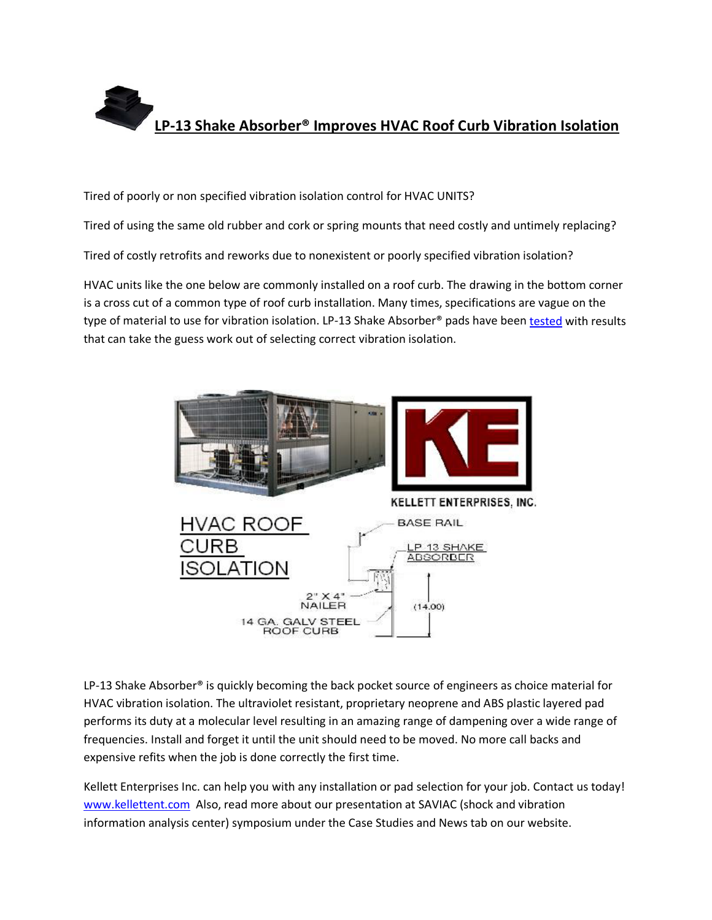

Tired of poorly or non specified vibration isolation control for HVAC UNITS?

Tired of using the same old rubber and cork or spring mounts that need costly and untimely replacing?

Tired of costly retrofits and reworks due to nonexistent or poorly specified vibration isolation?

HVAC units like the one below are commonly installed on a roof curb. The drawing in the bottom corner is a cross cut of a common type of roof curb installation. Many times, specifications are vague on the type of material to use for vibration isolation. LP-13 Shake Absorber® pads have bee[n tested](http://www.kellettent.com/technical.html) with results that can take the guess work out of selecting correct vibration isolation.



LP-13 Shake Absorber<sup>®</sup> is quickly becoming the back pocket source of engineers as choice material for HVAC vibration isolation. The ultraviolet resistant, proprietary neoprene and ABS plastic layered pad performs its duty at a molecular level resulting in an amazing range of dampening over a wide range of frequencies. Install and forget it until the unit should need to be moved. No more call backs and expensive refits when the job is done correctly the first time.

Kellett Enterprises Inc. can help you with any installation or pad selection for your job. Contact us today! [www.kellettent.com](http://www.kellettent.com/) Also, read more about our presentation at SAVIAC (shock and vibration information analysis center) symposium under the Case Studies and News tab on our website.